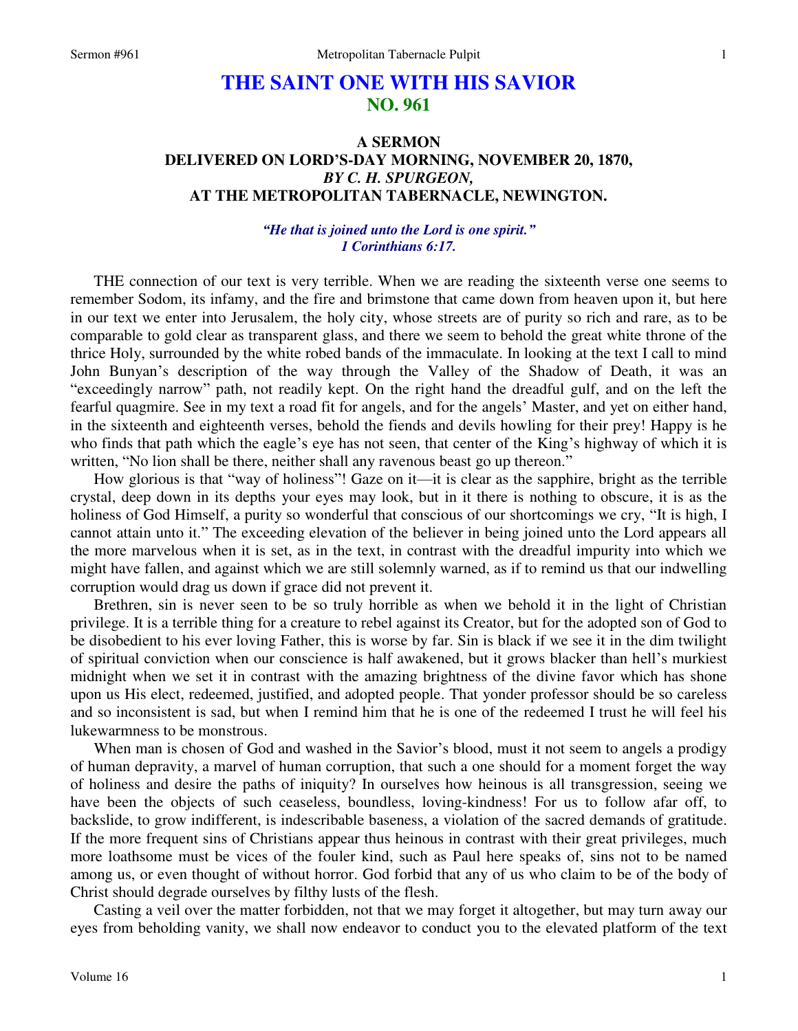# **THE SAINT ONE WITH HIS SAVIOR NO. 961**

## **A SERMON DELIVERED ON LORD'S-DAY MORNING, NOVEMBER 20, 1870,**  *BY C. H. SPURGEON,*  **AT THE METROPOLITAN TABERNACLE, NEWINGTON.**

### *"He that is joined unto the Lord is one spirit." 1 Corinthians 6:17.*

THE connection of our text is very terrible. When we are reading the sixteenth verse one seems to remember Sodom, its infamy, and the fire and brimstone that came down from heaven upon it, but here in our text we enter into Jerusalem, the holy city, whose streets are of purity so rich and rare, as to be comparable to gold clear as transparent glass, and there we seem to behold the great white throne of the thrice Holy, surrounded by the white robed bands of the immaculate. In looking at the text I call to mind John Bunyan's description of the way through the Valley of the Shadow of Death, it was an "exceedingly narrow" path, not readily kept. On the right hand the dreadful gulf, and on the left the fearful quagmire. See in my text a road fit for angels, and for the angels' Master, and yet on either hand, in the sixteenth and eighteenth verses, behold the fiends and devils howling for their prey! Happy is he who finds that path which the eagle's eye has not seen, that center of the King's highway of which it is written, "No lion shall be there, neither shall any ravenous beast go up thereon."

How glorious is that "way of holiness"! Gaze on it—it is clear as the sapphire, bright as the terrible crystal, deep down in its depths your eyes may look, but in it there is nothing to obscure, it is as the holiness of God Himself, a purity so wonderful that conscious of our shortcomings we cry, "It is high, I cannot attain unto it." The exceeding elevation of the believer in being joined unto the Lord appears all the more marvelous when it is set, as in the text, in contrast with the dreadful impurity into which we might have fallen, and against which we are still solemnly warned, as if to remind us that our indwelling corruption would drag us down if grace did not prevent it.

Brethren, sin is never seen to be so truly horrible as when we behold it in the light of Christian privilege. It is a terrible thing for a creature to rebel against its Creator, but for the adopted son of God to be disobedient to his ever loving Father, this is worse by far. Sin is black if we see it in the dim twilight of spiritual conviction when our conscience is half awakened, but it grows blacker than hell's murkiest midnight when we set it in contrast with the amazing brightness of the divine favor which has shone upon us His elect, redeemed, justified, and adopted people. That yonder professor should be so careless and so inconsistent is sad, but when I remind him that he is one of the redeemed I trust he will feel his lukewarmness to be monstrous.

When man is chosen of God and washed in the Savior's blood, must it not seem to angels a prodigy of human depravity, a marvel of human corruption, that such a one should for a moment forget the way of holiness and desire the paths of iniquity? In ourselves how heinous is all transgression, seeing we have been the objects of such ceaseless, boundless, loving-kindness! For us to follow afar off, to backslide, to grow indifferent, is indescribable baseness, a violation of the sacred demands of gratitude. If the more frequent sins of Christians appear thus heinous in contrast with their great privileges, much more loathsome must be vices of the fouler kind, such as Paul here speaks of, sins not to be named among us, or even thought of without horror. God forbid that any of us who claim to be of the body of Christ should degrade ourselves by filthy lusts of the flesh.

Casting a veil over the matter forbidden, not that we may forget it altogether, but may turn away our eyes from beholding vanity, we shall now endeavor to conduct you to the elevated platform of the text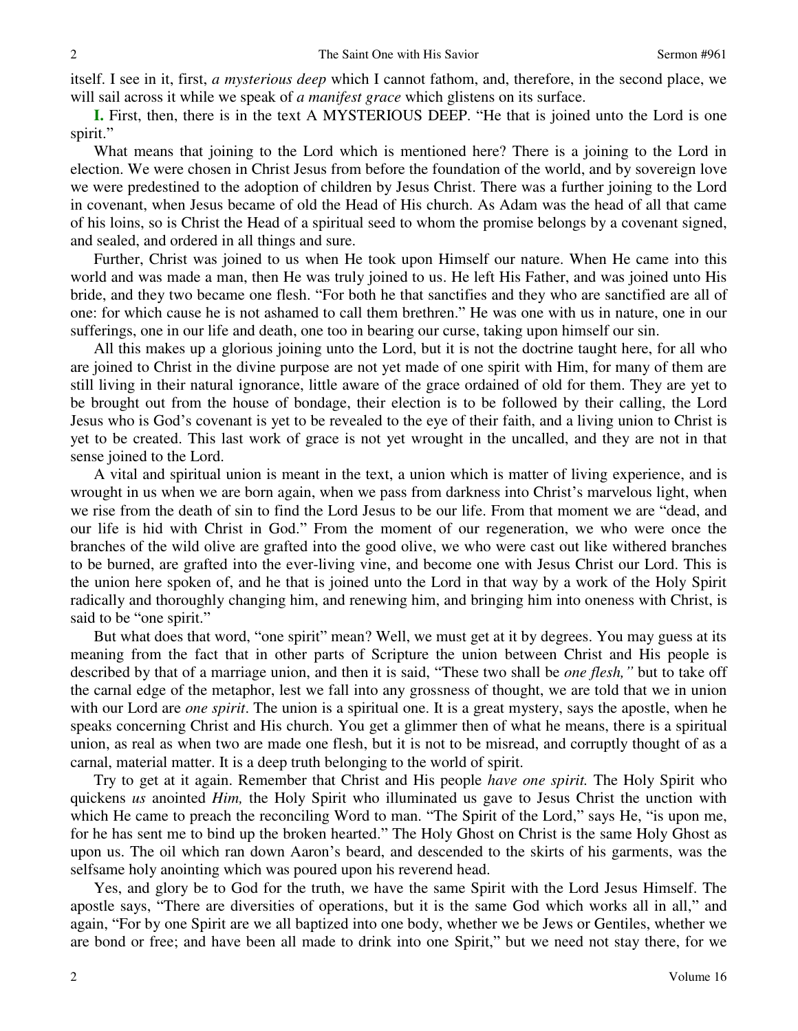itself. I see in it, first, *a mysterious deep* which I cannot fathom, and, therefore, in the second place, we will sail across it while we speak of *a manifest grace* which glistens on its surface.

**I.** First, then, there is in the text A MYSTERIOUS DEEP. "He that is joined unto the Lord is one spirit."

What means that joining to the Lord which is mentioned here? There is a joining to the Lord in election. We were chosen in Christ Jesus from before the foundation of the world, and by sovereign love we were predestined to the adoption of children by Jesus Christ. There was a further joining to the Lord in covenant, when Jesus became of old the Head of His church. As Adam was the head of all that came of his loins, so is Christ the Head of a spiritual seed to whom the promise belongs by a covenant signed, and sealed, and ordered in all things and sure.

Further, Christ was joined to us when He took upon Himself our nature. When He came into this world and was made a man, then He was truly joined to us. He left His Father, and was joined unto His bride, and they two became one flesh. "For both he that sanctifies and they who are sanctified are all of one: for which cause he is not ashamed to call them brethren." He was one with us in nature, one in our sufferings, one in our life and death, one too in bearing our curse, taking upon himself our sin.

All this makes up a glorious joining unto the Lord, but it is not the doctrine taught here, for all who are joined to Christ in the divine purpose are not yet made of one spirit with Him, for many of them are still living in their natural ignorance, little aware of the grace ordained of old for them. They are yet to be brought out from the house of bondage, their election is to be followed by their calling, the Lord Jesus who is God's covenant is yet to be revealed to the eye of their faith, and a living union to Christ is yet to be created. This last work of grace is not yet wrought in the uncalled, and they are not in that sense joined to the Lord.

A vital and spiritual union is meant in the text, a union which is matter of living experience, and is wrought in us when we are born again, when we pass from darkness into Christ's marvelous light, when we rise from the death of sin to find the Lord Jesus to be our life. From that moment we are "dead, and our life is hid with Christ in God." From the moment of our regeneration, we who were once the branches of the wild olive are grafted into the good olive, we who were cast out like withered branches to be burned, are grafted into the ever-living vine, and become one with Jesus Christ our Lord. This is the union here spoken of, and he that is joined unto the Lord in that way by a work of the Holy Spirit radically and thoroughly changing him, and renewing him, and bringing him into oneness with Christ, is said to be "one spirit."

But what does that word, "one spirit" mean? Well, we must get at it by degrees. You may guess at its meaning from the fact that in other parts of Scripture the union between Christ and His people is described by that of a marriage union, and then it is said, "These two shall be *one flesh,"* but to take off the carnal edge of the metaphor, lest we fall into any grossness of thought, we are told that we in union with our Lord are *one spirit*. The union is a spiritual one. It is a great mystery, says the apostle, when he speaks concerning Christ and His church. You get a glimmer then of what he means, there is a spiritual union, as real as when two are made one flesh, but it is not to be misread, and corruptly thought of as a carnal, material matter. It is a deep truth belonging to the world of spirit.

Try to get at it again. Remember that Christ and His people *have one spirit.* The Holy Spirit who quickens *us* anointed *Him,* the Holy Spirit who illuminated us gave to Jesus Christ the unction with which He came to preach the reconciling Word to man. "The Spirit of the Lord," says He, "is upon me, for he has sent me to bind up the broken hearted." The Holy Ghost on Christ is the same Holy Ghost as upon us. The oil which ran down Aaron's beard, and descended to the skirts of his garments, was the selfsame holy anointing which was poured upon his reverend head.

Yes, and glory be to God for the truth, we have the same Spirit with the Lord Jesus Himself. The apostle says, "There are diversities of operations, but it is the same God which works all in all," and again, "For by one Spirit are we all baptized into one body, whether we be Jews or Gentiles, whether we are bond or free; and have been all made to drink into one Spirit," but we need not stay there, for we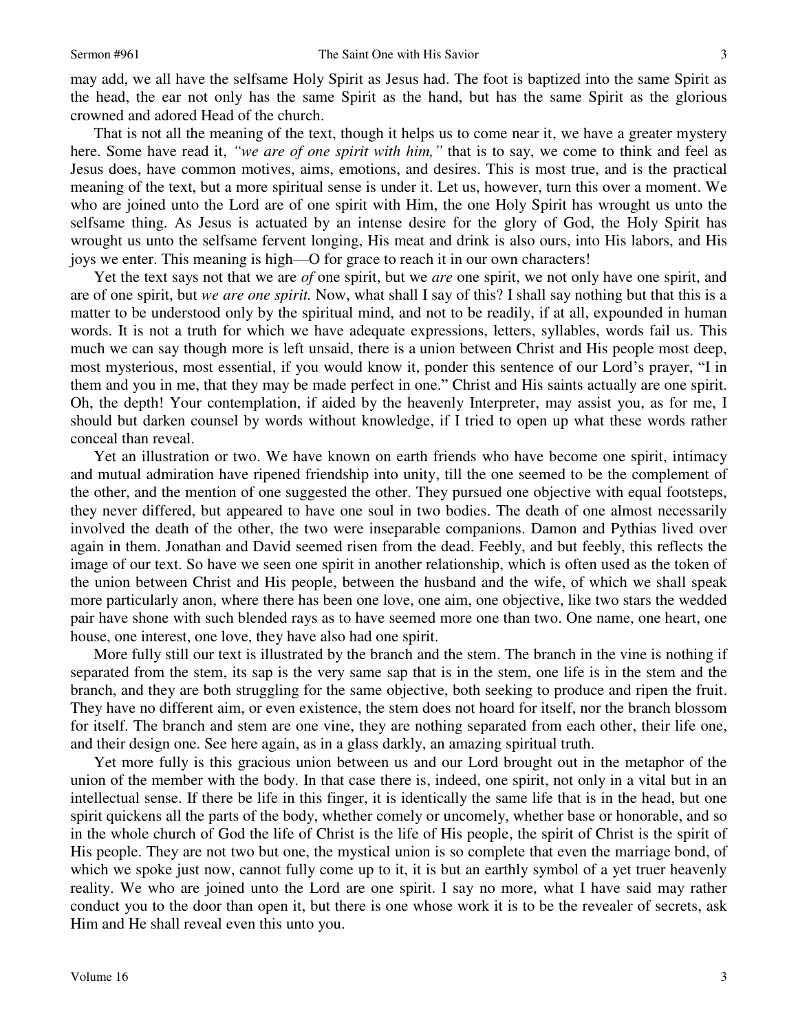may add, we all have the selfsame Holy Spirit as Jesus had. The foot is baptized into the same Spirit as the head, the ear not only has the same Spirit as the hand, but has the same Spirit as the glorious crowned and adored Head of the church.

That is not all the meaning of the text, though it helps us to come near it, we have a greater mystery here. Some have read it, *"we are of one spirit with him,"* that is to say, we come to think and feel as Jesus does, have common motives, aims, emotions, and desires. This is most true, and is the practical meaning of the text, but a more spiritual sense is under it. Let us, however, turn this over a moment. We who are joined unto the Lord are of one spirit with Him, the one Holy Spirit has wrought us unto the selfsame thing. As Jesus is actuated by an intense desire for the glory of God, the Holy Spirit has wrought us unto the selfsame fervent longing, His meat and drink is also ours, into His labors, and His joys we enter. This meaning is high—O for grace to reach it in our own characters!

Yet the text says not that we are *of* one spirit, but we *are* one spirit, we not only have one spirit, and are of one spirit, but *we are one spirit.* Now, what shall I say of this? I shall say nothing but that this is a matter to be understood only by the spiritual mind, and not to be readily, if at all, expounded in human words. It is not a truth for which we have adequate expressions, letters, syllables, words fail us. This much we can say though more is left unsaid, there is a union between Christ and His people most deep, most mysterious, most essential, if you would know it, ponder this sentence of our Lord's prayer, "I in them and you in me, that they may be made perfect in one." Christ and His saints actually are one spirit. Oh, the depth! Your contemplation, if aided by the heavenly Interpreter, may assist you, as for me, I should but darken counsel by words without knowledge, if I tried to open up what these words rather conceal than reveal.

Yet an illustration or two. We have known on earth friends who have become one spirit, intimacy and mutual admiration have ripened friendship into unity, till the one seemed to be the complement of the other, and the mention of one suggested the other. They pursued one objective with equal footsteps, they never differed, but appeared to have one soul in two bodies. The death of one almost necessarily involved the death of the other, the two were inseparable companions. Damon and Pythias lived over again in them. Jonathan and David seemed risen from the dead. Feebly, and but feebly, this reflects the image of our text. So have we seen one spirit in another relationship, which is often used as the token of the union between Christ and His people, between the husband and the wife, of which we shall speak more particularly anon, where there has been one love, one aim, one objective, like two stars the wedded pair have shone with such blended rays as to have seemed more one than two. One name, one heart, one house, one interest, one love, they have also had one spirit.

More fully still our text is illustrated by the branch and the stem. The branch in the vine is nothing if separated from the stem, its sap is the very same sap that is in the stem, one life is in the stem and the branch, and they are both struggling for the same objective, both seeking to produce and ripen the fruit. They have no different aim, or even existence, the stem does not hoard for itself, nor the branch blossom for itself. The branch and stem are one vine, they are nothing separated from each other, their life one, and their design one. See here again, as in a glass darkly, an amazing spiritual truth.

Yet more fully is this gracious union between us and our Lord brought out in the metaphor of the union of the member with the body. In that case there is, indeed, one spirit, not only in a vital but in an intellectual sense. If there be life in this finger, it is identically the same life that is in the head, but one spirit quickens all the parts of the body, whether comely or uncomely, whether base or honorable, and so in the whole church of God the life of Christ is the life of His people, the spirit of Christ is the spirit of His people. They are not two but one, the mystical union is so complete that even the marriage bond, of which we spoke just now, cannot fully come up to it, it is but an earthly symbol of a yet truer heavenly reality. We who are joined unto the Lord are one spirit. I say no more, what I have said may rather conduct you to the door than open it, but there is one whose work it is to be the revealer of secrets, ask Him and He shall reveal even this unto you.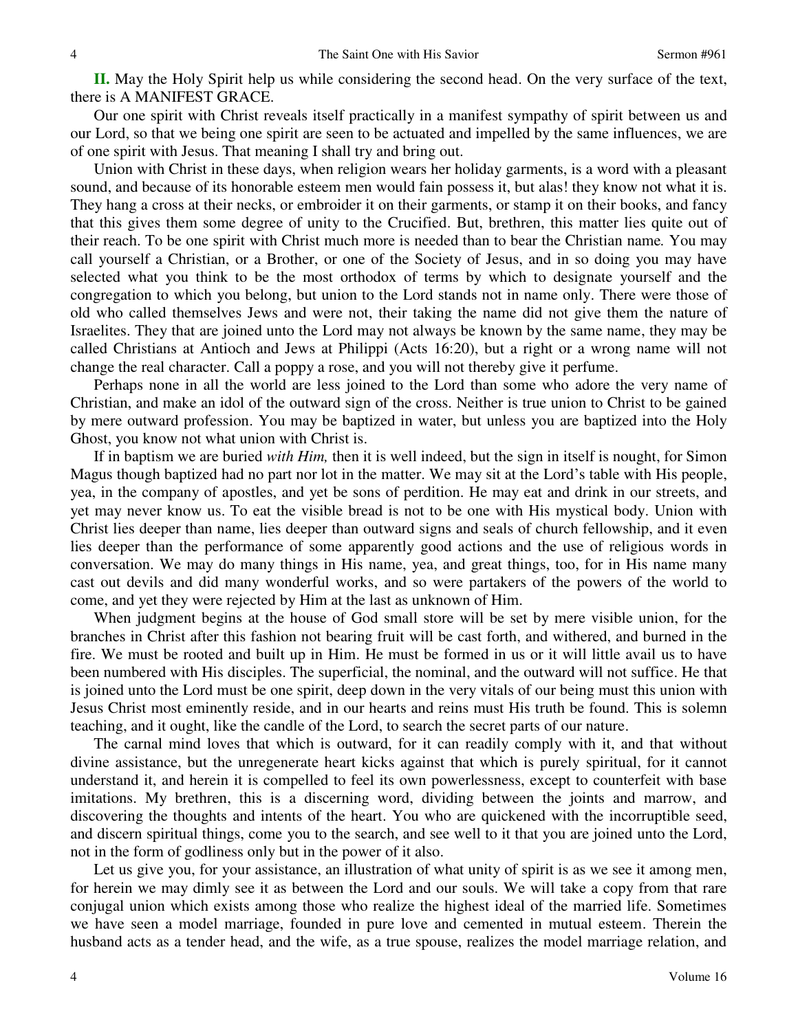**II.** May the Holy Spirit help us while considering the second head. On the very surface of the text, there is A MANIFEST GRACE.

Our one spirit with Christ reveals itself practically in a manifest sympathy of spirit between us and our Lord, so that we being one spirit are seen to be actuated and impelled by the same influences, we are of one spirit with Jesus. That meaning I shall try and bring out.

Union with Christ in these days, when religion wears her holiday garments, is a word with a pleasant sound, and because of its honorable esteem men would fain possess it, but alas! they know not what it is. They hang a cross at their necks, or embroider it on their garments, or stamp it on their books, and fancy that this gives them some degree of unity to the Crucified. But, brethren, this matter lies quite out of their reach. To be one spirit with Christ much more is needed than to bear the Christian name*.* You may call yourself a Christian, or a Brother, or one of the Society of Jesus, and in so doing you may have selected what you think to be the most orthodox of terms by which to designate yourself and the congregation to which you belong, but union to the Lord stands not in name only. There were those of old who called themselves Jews and were not, their taking the name did not give them the nature of Israelites. They that are joined unto the Lord may not always be known by the same name, they may be called Christians at Antioch and Jews at Philippi (Acts 16:20), but a right or a wrong name will not change the real character. Call a poppy a rose, and you will not thereby give it perfume.

Perhaps none in all the world are less joined to the Lord than some who adore the very name of Christian, and make an idol of the outward sign of the cross. Neither is true union to Christ to be gained by mere outward profession. You may be baptized in water, but unless you are baptized into the Holy Ghost, you know not what union with Christ is.

If in baptism we are buried *with Him,* then it is well indeed, but the sign in itself is nought, for Simon Magus though baptized had no part nor lot in the matter. We may sit at the Lord's table with His people, yea, in the company of apostles, and yet be sons of perdition. He may eat and drink in our streets, and yet may never know us. To eat the visible bread is not to be one with His mystical body. Union with Christ lies deeper than name, lies deeper than outward signs and seals of church fellowship, and it even lies deeper than the performance of some apparently good actions and the use of religious words in conversation. We may do many things in His name, yea, and great things, too, for in His name many cast out devils and did many wonderful works, and so were partakers of the powers of the world to come, and yet they were rejected by Him at the last as unknown of Him.

When judgment begins at the house of God small store will be set by mere visible union, for the branches in Christ after this fashion not bearing fruit will be cast forth, and withered, and burned in the fire. We must be rooted and built up in Him. He must be formed in us or it will little avail us to have been numbered with His disciples. The superficial, the nominal, and the outward will not suffice. He that is joined unto the Lord must be one spirit, deep down in the very vitals of our being must this union with Jesus Christ most eminently reside, and in our hearts and reins must His truth be found. This is solemn teaching, and it ought, like the candle of the Lord, to search the secret parts of our nature.

The carnal mind loves that which is outward, for it can readily comply with it, and that without divine assistance, but the unregenerate heart kicks against that which is purely spiritual, for it cannot understand it, and herein it is compelled to feel its own powerlessness, except to counterfeit with base imitations. My brethren, this is a discerning word, dividing between the joints and marrow, and discovering the thoughts and intents of the heart. You who are quickened with the incorruptible seed, and discern spiritual things, come you to the search, and see well to it that you are joined unto the Lord, not in the form of godliness only but in the power of it also.

Let us give you, for your assistance, an illustration of what unity of spirit is as we see it among men, for herein we may dimly see it as between the Lord and our souls. We will take a copy from that rare conjugal union which exists among those who realize the highest ideal of the married life. Sometimes we have seen a model marriage, founded in pure love and cemented in mutual esteem. Therein the husband acts as a tender head, and the wife, as a true spouse, realizes the model marriage relation, and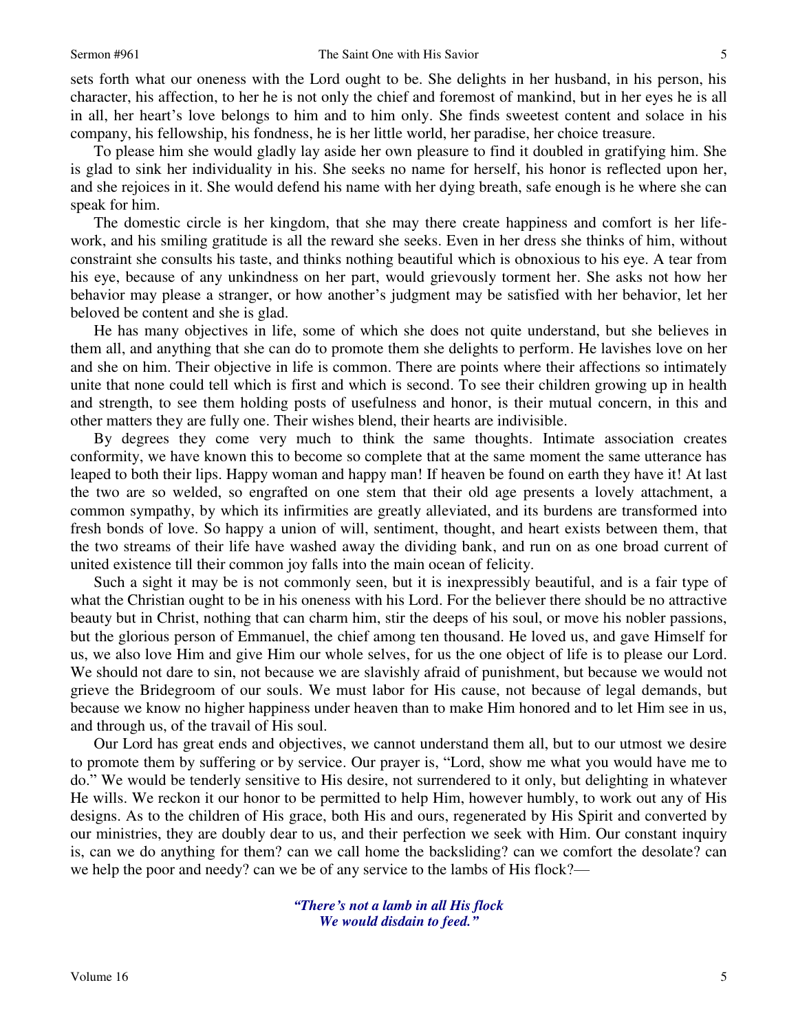sets forth what our oneness with the Lord ought to be. She delights in her husband, in his person, his character, his affection, to her he is not only the chief and foremost of mankind, but in her eyes he is all in all, her heart's love belongs to him and to him only. She finds sweetest content and solace in his company, his fellowship, his fondness, he is her little world, her paradise, her choice treasure.

To please him she would gladly lay aside her own pleasure to find it doubled in gratifying him. She is glad to sink her individuality in his. She seeks no name for herself, his honor is reflected upon her, and she rejoices in it. She would defend his name with her dying breath, safe enough is he where she can speak for him.

The domestic circle is her kingdom, that she may there create happiness and comfort is her lifework, and his smiling gratitude is all the reward she seeks. Even in her dress she thinks of him, without constraint she consults his taste, and thinks nothing beautiful which is obnoxious to his eye. A tear from his eye, because of any unkindness on her part, would grievously torment her. She asks not how her behavior may please a stranger, or how another's judgment may be satisfied with her behavior, let her beloved be content and she is glad.

He has many objectives in life, some of which she does not quite understand, but she believes in them all, and anything that she can do to promote them she delights to perform. He lavishes love on her and she on him. Their objective in life is common. There are points where their affections so intimately unite that none could tell which is first and which is second. To see their children growing up in health and strength, to see them holding posts of usefulness and honor, is their mutual concern, in this and other matters they are fully one. Their wishes blend, their hearts are indivisible.

By degrees they come very much to think the same thoughts. Intimate association creates conformity, we have known this to become so complete that at the same moment the same utterance has leaped to both their lips. Happy woman and happy man! If heaven be found on earth they have it! At last the two are so welded, so engrafted on one stem that their old age presents a lovely attachment, a common sympathy, by which its infirmities are greatly alleviated, and its burdens are transformed into fresh bonds of love. So happy a union of will, sentiment, thought, and heart exists between them, that the two streams of their life have washed away the dividing bank, and run on as one broad current of united existence till their common joy falls into the main ocean of felicity.

Such a sight it may be is not commonly seen, but it is inexpressibly beautiful, and is a fair type of what the Christian ought to be in his oneness with his Lord. For the believer there should be no attractive beauty but in Christ, nothing that can charm him, stir the deeps of his soul, or move his nobler passions, but the glorious person of Emmanuel, the chief among ten thousand. He loved us, and gave Himself for us, we also love Him and give Him our whole selves, for us the one object of life is to please our Lord. We should not dare to sin, not because we are slavishly afraid of punishment, but because we would not grieve the Bridegroom of our souls. We must labor for His cause, not because of legal demands, but because we know no higher happiness under heaven than to make Him honored and to let Him see in us, and through us, of the travail of His soul.

Our Lord has great ends and objectives, we cannot understand them all, but to our utmost we desire to promote them by suffering or by service. Our prayer is, "Lord, show me what you would have me to do." We would be tenderly sensitive to His desire, not surrendered to it only, but delighting in whatever He wills. We reckon it our honor to be permitted to help Him, however humbly, to work out any of His designs. As to the children of His grace, both His and ours, regenerated by His Spirit and converted by our ministries, they are doubly dear to us, and their perfection we seek with Him. Our constant inquiry is, can we do anything for them? can we call home the backsliding? can we comfort the desolate? can we help the poor and needy? can we be of any service to the lambs of His flock?—

> *"There's not a lamb in all His flock We would disdain to feed."*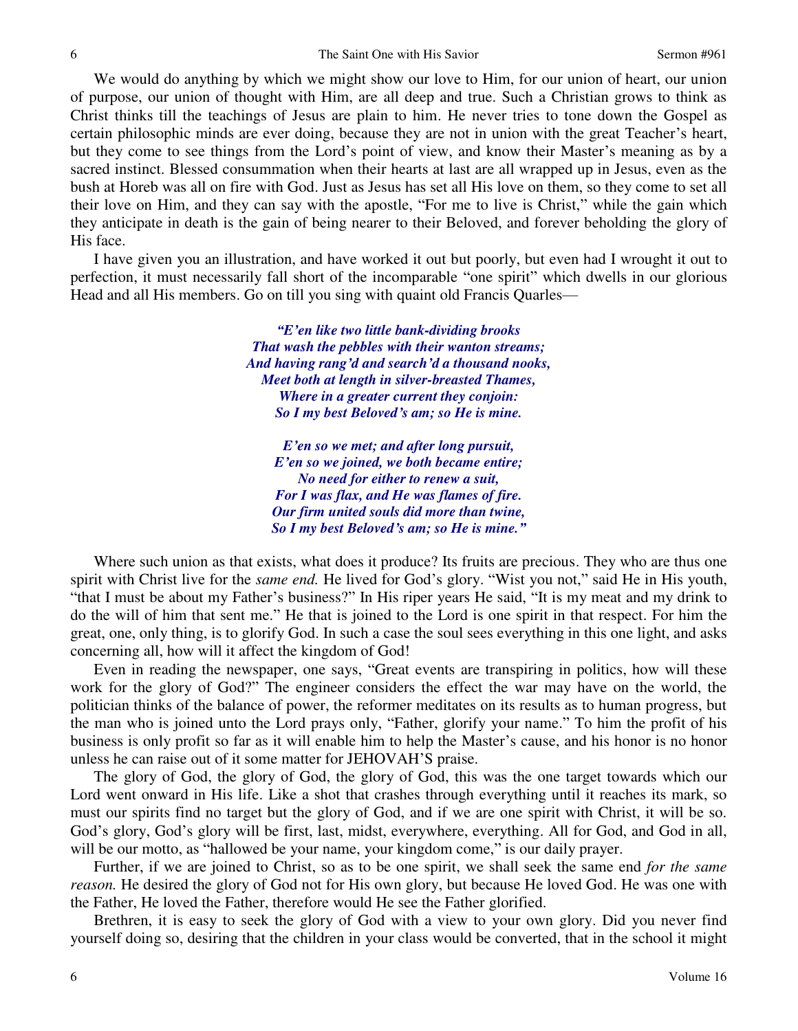We would do anything by which we might show our love to Him, for our union of heart, our union of purpose, our union of thought with Him, are all deep and true. Such a Christian grows to think as Christ thinks till the teachings of Jesus are plain to him. He never tries to tone down the Gospel as certain philosophic minds are ever doing, because they are not in union with the great Teacher's heart, but they come to see things from the Lord's point of view, and know their Master's meaning as by a sacred instinct. Blessed consummation when their hearts at last are all wrapped up in Jesus, even as the bush at Horeb was all on fire with God. Just as Jesus has set all His love on them, so they come to set all their love on Him, and they can say with the apostle, "For me to live is Christ," while the gain which they anticipate in death is the gain of being nearer to their Beloved, and forever beholding the glory of His face.

I have given you an illustration, and have worked it out but poorly, but even had I wrought it out to perfection, it must necessarily fall short of the incomparable "one spirit" which dwells in our glorious Head and all His members. Go on till you sing with quaint old Francis Quarles—

> *"E'en like two little bank-dividing brooks That wash the pebbles with their wanton streams; And having rang'd and search'd a thousand nooks, Meet both at length in silver-breasted Thames, Where in a greater current they conjoin: So I my best Beloved's am; so He is mine.*

*E'en so we met; and after long pursuit, E'en so we joined, we both became entire; No need for either to renew a suit, For I was flax, and He was flames of fire. Our firm united souls did more than twine, So I my best Beloved's am; so He is mine."*

Where such union as that exists, what does it produce? Its fruits are precious. They who are thus one spirit with Christ live for the *same end*. He lived for God's glory. "Wist you not," said He in His youth, "that I must be about my Father's business?" In His riper years He said, "It is my meat and my drink to do the will of him that sent me." He that is joined to the Lord is one spirit in that respect. For him the great, one, only thing, is to glorify God. In such a case the soul sees everything in this one light, and asks concerning all, how will it affect the kingdom of God!

Even in reading the newspaper, one says, "Great events are transpiring in politics, how will these work for the glory of God?" The engineer considers the effect the war may have on the world, the politician thinks of the balance of power, the reformer meditates on its results as to human progress, but the man who is joined unto the Lord prays only, "Father, glorify your name." To him the profit of his business is only profit so far as it will enable him to help the Master's cause, and his honor is no honor unless he can raise out of it some matter for JEHOVAH'S praise.

The glory of God, the glory of God, the glory of God, this was the one target towards which our Lord went onward in His life. Like a shot that crashes through everything until it reaches its mark, so must our spirits find no target but the glory of God, and if we are one spirit with Christ, it will be so. God's glory, God's glory will be first, last, midst, everywhere, everything. All for God, and God in all, will be our motto, as "hallowed be your name, your kingdom come," is our daily prayer.

Further, if we are joined to Christ, so as to be one spirit, we shall seek the same end *for the same reason.* He desired the glory of God not for His own glory, but because He loved God. He was one with the Father, He loved the Father, therefore would He see the Father glorified.

Brethren, it is easy to seek the glory of God with a view to your own glory. Did you never find yourself doing so, desiring that the children in your class would be converted, that in the school it might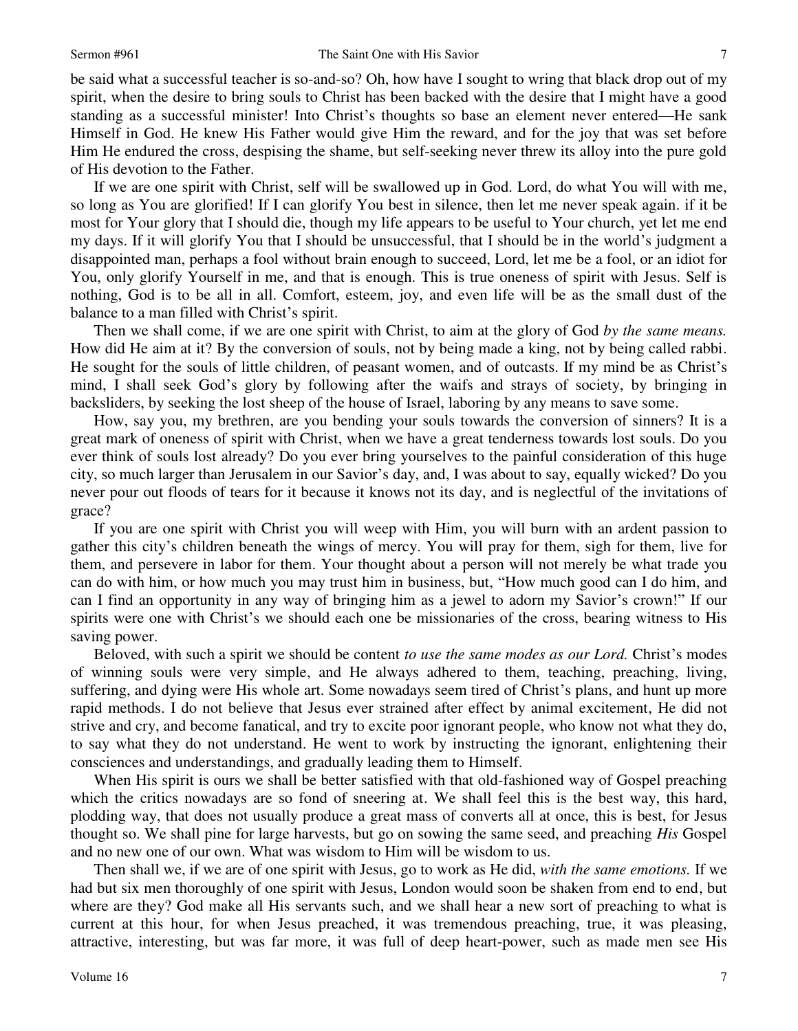be said what a successful teacher is so-and-so? Oh, how have I sought to wring that black drop out of my spirit, when the desire to bring souls to Christ has been backed with the desire that I might have a good standing as a successful minister! Into Christ's thoughts so base an element never entered—He sank Himself in God. He knew His Father would give Him the reward, and for the joy that was set before Him He endured the cross, despising the shame, but self-seeking never threw its alloy into the pure gold of His devotion to the Father.

If we are one spirit with Christ, self will be swallowed up in God. Lord, do what You will with me, so long as You are glorified! If I can glorify You best in silence, then let me never speak again. if it be most for Your glory that I should die, though my life appears to be useful to Your church, yet let me end my days. If it will glorify You that I should be unsuccessful, that I should be in the world's judgment a disappointed man, perhaps a fool without brain enough to succeed, Lord, let me be a fool, or an idiot for You, only glorify Yourself in me, and that is enough. This is true oneness of spirit with Jesus. Self is nothing, God is to be all in all. Comfort, esteem, joy, and even life will be as the small dust of the balance to a man filled with Christ's spirit.

Then we shall come, if we are one spirit with Christ, to aim at the glory of God *by the same means.* How did He aim at it? By the conversion of souls, not by being made a king, not by being called rabbi. He sought for the souls of little children, of peasant women, and of outcasts. If my mind be as Christ's mind, I shall seek God's glory by following after the waifs and strays of society, by bringing in backsliders, by seeking the lost sheep of the house of Israel, laboring by any means to save some.

How, say you, my brethren, are you bending your souls towards the conversion of sinners? It is a great mark of oneness of spirit with Christ, when we have a great tenderness towards lost souls. Do you ever think of souls lost already? Do you ever bring yourselves to the painful consideration of this huge city, so much larger than Jerusalem in our Savior's day, and, I was about to say, equally wicked? Do you never pour out floods of tears for it because it knows not its day, and is neglectful of the invitations of grace?

If you are one spirit with Christ you will weep with Him, you will burn with an ardent passion to gather this city's children beneath the wings of mercy. You will pray for them, sigh for them, live for them, and persevere in labor for them. Your thought about a person will not merely be what trade you can do with him, or how much you may trust him in business, but, "How much good can I do him, and can I find an opportunity in any way of bringing him as a jewel to adorn my Savior's crown!" If our spirits were one with Christ's we should each one be missionaries of the cross, bearing witness to His saving power.

Beloved, with such a spirit we should be content *to use the same modes as our Lord.* Christ's modes of winning souls were very simple, and He always adhered to them, teaching, preaching, living, suffering, and dying were His whole art. Some nowadays seem tired of Christ's plans, and hunt up more rapid methods. I do not believe that Jesus ever strained after effect by animal excitement, He did not strive and cry, and become fanatical, and try to excite poor ignorant people, who know not what they do, to say what they do not understand. He went to work by instructing the ignorant, enlightening their consciences and understandings, and gradually leading them to Himself.

When His spirit is ours we shall be better satisfied with that old-fashioned way of Gospel preaching which the critics nowadays are so fond of sneering at. We shall feel this is the best way, this hard, plodding way, that does not usually produce a great mass of converts all at once, this is best, for Jesus thought so. We shall pine for large harvests, but go on sowing the same seed, and preaching *His* Gospel and no new one of our own. What was wisdom to Him will be wisdom to us.

Then shall we, if we are of one spirit with Jesus, go to work as He did, *with the same emotions.* If we had but six men thoroughly of one spirit with Jesus, London would soon be shaken from end to end, but where are they? God make all His servants such, and we shall hear a new sort of preaching to what is current at this hour, for when Jesus preached, it was tremendous preaching, true, it was pleasing, attractive, interesting, but was far more, it was full of deep heart-power, such as made men see His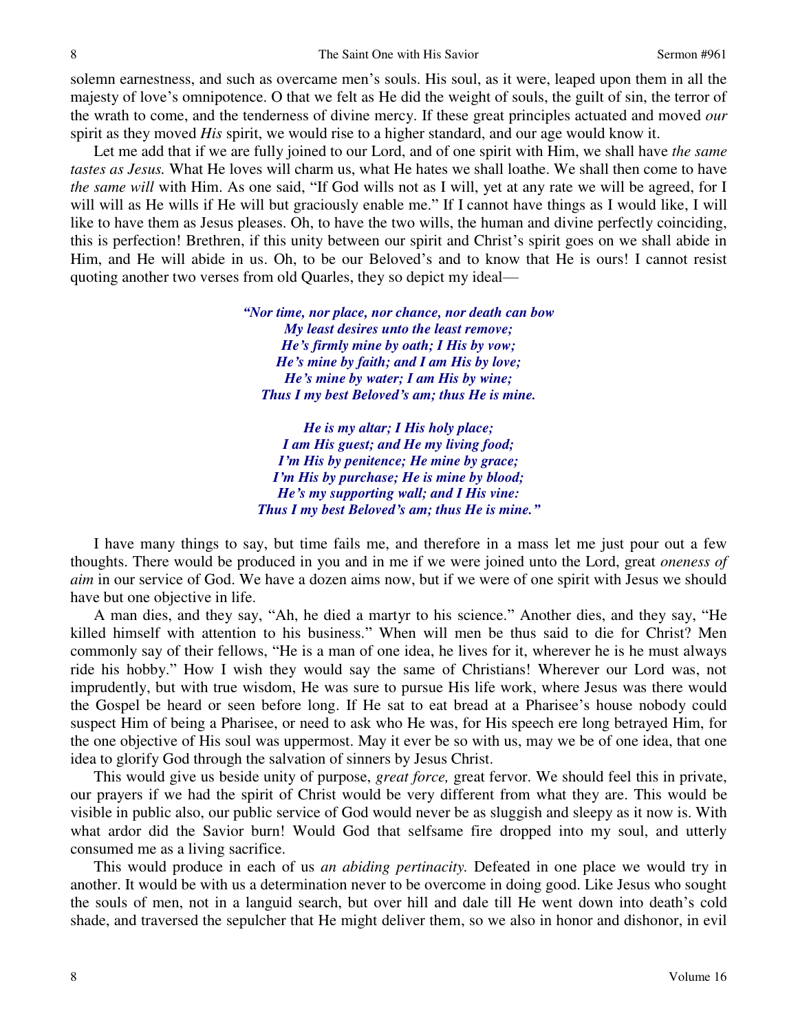solemn earnestness, and such as overcame men's souls. His soul, as it were, leaped upon them in all the majesty of love's omnipotence. O that we felt as He did the weight of souls, the guilt of sin, the terror of the wrath to come, and the tenderness of divine mercy. If these great principles actuated and moved *our* spirit as they moved *His* spirit, we would rise to a higher standard, and our age would know it.

Let me add that if we are fully joined to our Lord, and of one spirit with Him, we shall have *the same tastes as Jesus.* What He loves will charm us, what He hates we shall loathe. We shall then come to have *the same will* with Him. As one said, "If God wills not as I will, yet at any rate we will be agreed, for I will will as He wills if He will but graciously enable me." If I cannot have things as I would like, I will like to have them as Jesus pleases. Oh, to have the two wills, the human and divine perfectly coinciding, this is perfection! Brethren, if this unity between our spirit and Christ's spirit goes on we shall abide in Him, and He will abide in us. Oh, to be our Beloved's and to know that He is ours! I cannot resist quoting another two verses from old Quarles, they so depict my ideal—

> *"Nor time, nor place, nor chance, nor death can bow My least desires unto the least remove; He's firmly mine by oath; I His by vow; He's mine by faith; and I am His by love; He's mine by water; I am His by wine; Thus I my best Beloved's am; thus He is mine.*

*He is my altar; I His holy place; I am His guest; and He my living food; I'm His by penitence; He mine by grace; I'm His by purchase; He is mine by blood; He's my supporting wall; and I His vine: Thus I my best Beloved's am; thus He is mine."*

I have many things to say, but time fails me, and therefore in a mass let me just pour out a few thoughts. There would be produced in you and in me if we were joined unto the Lord, great *oneness of aim* in our service of God. We have a dozen aims now, but if we were of one spirit with Jesus we should have but one objective in life.

A man dies, and they say, "Ah, he died a martyr to his science." Another dies, and they say, "He killed himself with attention to his business." When will men be thus said to die for Christ? Men commonly say of their fellows, "He is a man of one idea, he lives for it, wherever he is he must always ride his hobby." How I wish they would say the same of Christians! Wherever our Lord was, not imprudently, but with true wisdom, He was sure to pursue His life work, where Jesus was there would the Gospel be heard or seen before long. If He sat to eat bread at a Pharisee's house nobody could suspect Him of being a Pharisee, or need to ask who He was, for His speech ere long betrayed Him, for the one objective of His soul was uppermost. May it ever be so with us, may we be of one idea, that one idea to glorify God through the salvation of sinners by Jesus Christ.

This would give us beside unity of purpose, *great force,* great fervor. We should feel this in private, our prayers if we had the spirit of Christ would be very different from what they are. This would be visible in public also, our public service of God would never be as sluggish and sleepy as it now is. With what ardor did the Savior burn! Would God that selfsame fire dropped into my soul, and utterly consumed me as a living sacrifice.

This would produce in each of us *an abiding pertinacity.* Defeated in one place we would try in another. It would be with us a determination never to be overcome in doing good. Like Jesus who sought the souls of men, not in a languid search, but over hill and dale till He went down into death's cold shade, and traversed the sepulcher that He might deliver them, so we also in honor and dishonor, in evil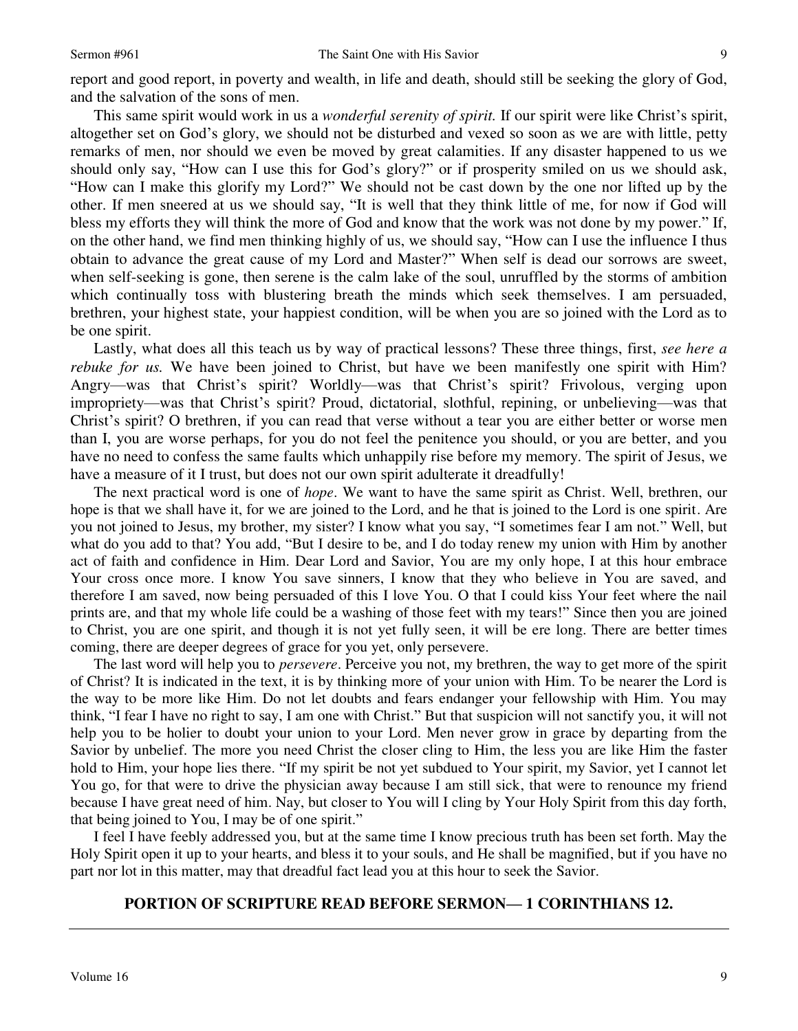report and good report, in poverty and wealth, in life and death, should still be seeking the glory of God, and the salvation of the sons of men.

This same spirit would work in us a *wonderful serenity of spirit.* If our spirit were like Christ's spirit, altogether set on God's glory, we should not be disturbed and vexed so soon as we are with little, petty remarks of men, nor should we even be moved by great calamities. If any disaster happened to us we should only say, "How can I use this for God's glory?" or if prosperity smiled on us we should ask, "How can I make this glorify my Lord?" We should not be cast down by the one nor lifted up by the other. If men sneered at us we should say, "It is well that they think little of me, for now if God will bless my efforts they will think the more of God and know that the work was not done by my power." If, on the other hand, we find men thinking highly of us, we should say, "How can I use the influence I thus obtain to advance the great cause of my Lord and Master?" When self is dead our sorrows are sweet, when self-seeking is gone, then serene is the calm lake of the soul, unruffled by the storms of ambition which continually toss with blustering breath the minds which seek themselves. I am persuaded, brethren, your highest state, your happiest condition, will be when you are so joined with the Lord as to be one spirit.

Lastly, what does all this teach us by way of practical lessons? These three things, first, *see here a rebuke for us.* We have been joined to Christ, but have we been manifestly one spirit with Him? Angry—was that Christ's spirit? Worldly—was that Christ's spirit? Frivolous, verging upon impropriety—was that Christ's spirit? Proud, dictatorial, slothful, repining, or unbelieving—was that Christ's spirit? O brethren, if you can read that verse without a tear you are either better or worse men than I, you are worse perhaps, for you do not feel the penitence you should, or you are better, and you have no need to confess the same faults which unhappily rise before my memory. The spirit of Jesus, we have a measure of it I trust, but does not our own spirit adulterate it dreadfully!

The next practical word is one of *hope*. We want to have the same spirit as Christ. Well, brethren, our hope is that we shall have it, for we are joined to the Lord, and he that is joined to the Lord is one spirit. Are you not joined to Jesus, my brother, my sister? I know what you say, "I sometimes fear I am not." Well, but what do you add to that? You add, "But I desire to be, and I do today renew my union with Him by another act of faith and confidence in Him. Dear Lord and Savior, You are my only hope, I at this hour embrace Your cross once more. I know You save sinners, I know that they who believe in You are saved, and therefore I am saved, now being persuaded of this I love You. O that I could kiss Your feet where the nail prints are, and that my whole life could be a washing of those feet with my tears!" Since then you are joined to Christ, you are one spirit, and though it is not yet fully seen, it will be ere long. There are better times coming, there are deeper degrees of grace for you yet, only persevere.

The last word will help you to *persevere*. Perceive you not, my brethren, the way to get more of the spirit of Christ? It is indicated in the text, it is by thinking more of your union with Him. To be nearer the Lord is the way to be more like Him. Do not let doubts and fears endanger your fellowship with Him. You may think, "I fear I have no right to say, I am one with Christ." But that suspicion will not sanctify you, it will not help you to be holier to doubt your union to your Lord. Men never grow in grace by departing from the Savior by unbelief. The more you need Christ the closer cling to Him, the less you are like Him the faster hold to Him, your hope lies there. "If my spirit be not yet subdued to Your spirit, my Savior, yet I cannot let You go, for that were to drive the physician away because I am still sick, that were to renounce my friend because I have great need of him. Nay, but closer to You will I cling by Your Holy Spirit from this day forth, that being joined to You, I may be of one spirit."

I feel I have feebly addressed you, but at the same time I know precious truth has been set forth. May the Holy Spirit open it up to your hearts, and bless it to your souls, and He shall be magnified, but if you have no part nor lot in this matter, may that dreadful fact lead you at this hour to seek the Savior.

### **PORTION OF SCRIPTURE READ BEFORE SERMON— 1 CORINTHIANS 12.**